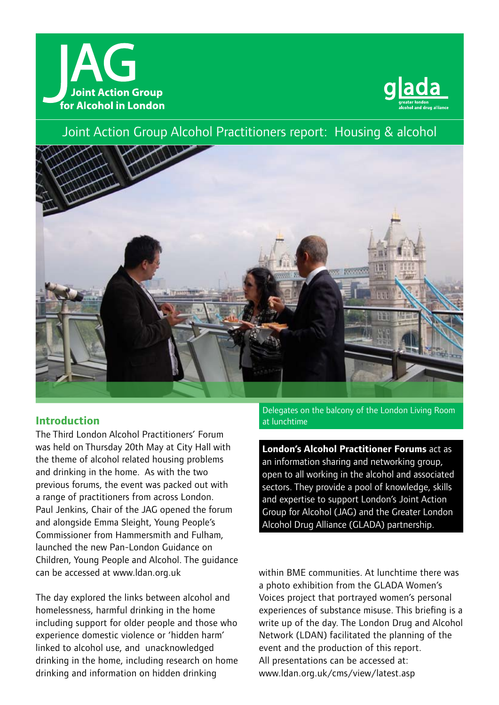



Joint Action Group Alcohol Practitioners report: Housing & alcohol



# **Introduction**

The Third London Alcohol Practitioners' Forum was held on Thursday 20th May at City Hall with the theme of alcohol related housing problems and drinking in the home. As with the two previous forums, the event was packed out with a range of practitioners from across London. Paul Jenkins, Chair of the JAG opened the forum and alongside Emma Sleight, Young People's Commissioner from Hammersmith and Fulham, launched the new Pan-London Guidance on Children, Young People and Alcohol. The guidance can be accessed at www.ldan.org.uk

The day explored the links between alcohol and homelessness, harmful drinking in the home including support for older people and those who experience domestic violence or 'hidden harm' linked to alcohol use, and unacknowledged drinking in the home, including research on home drinking and information on hidden drinking

Delegates on the balcony of the London Living Room at lunchtime

**London's Alcohol Practitioner Forums** act as an information sharing and networking group, open to all working in the alcohol and associated sectors. They provide a pool of knowledge, skills and expertise to support London's Joint Action Group for Alcohol (JAG) and the Greater London Alcohol Drug Alliance (GLADA) partnership.

within BME communities. At lunchtime there was a photo exhibition from the GLADA Women's Voices project that portrayed women's personal experiences of substance misuse. This briefing is a write up of the day. The London Drug and Alcohol Network (LDAN) facilitated the planning of the event and the production of this report. All presentations can be accessed at: www.ldan.org.uk/cms/view/latest.asp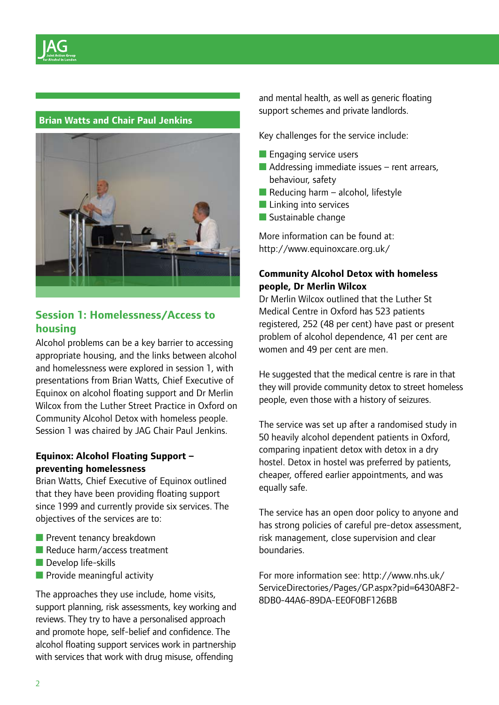## **Brian Watts and Chair Paul Jenkins**



# **Session 1: Homelessness/Access to housing**

Alcohol problems can be a key barrier to accessing appropriate housing, and the links between alcohol and homelessness were explored in session 1, with presentations from Brian Watts, Chief Executive of Equinox on alcohol floating support and Dr Merlin Wilcox from the Luther Street Practice in Oxford on Community Alcohol Detox with homeless people. Session 1 was chaired by JAG Chair Paul Jenkins.

## **Equinox: Alcohol Floating Support – preventing homelessness**

Brian Watts, Chief Executive of Equinox outlined that they have been providing floating support since 1999 and currently provide six services. The objectives of the services are to:

- Prevent tenancy breakdown
- Reduce harm/access treatment
- Develop life-skills
- Provide meaningful activity

The approaches they use include, home visits, support planning, risk assessments, key working and reviews. They try to have a personalised approach and promote hope, self-belief and confidence. The alcohol floating support services work in partnership with services that work with drug misuse, offending

and mental health, as well as generic floating support schemes and private landlords.

Key challenges for the service include:

- Engaging service users
- $\blacksquare$  Addressing immediate issues rent arrears, behaviour, safety
- $\blacksquare$  Reducing harm alcohol, lifestyle
- Linking into services
- Sustainable change

More information can be found at: http://www.equinoxcare.org.uk/

## **Community Alcohol Detox with homeless people, Dr Merlin Wilcox**

Dr Merlin Wilcox outlined that the Luther St Medical Centre in Oxford has 523 patients registered, 252 (48 per cent) have past or present problem of alcohol dependence, 41 per cent are women and 49 per cent are men.

He suggested that the medical centre is rare in that they will provide community detox to street homeless people, even those with a history of seizures.

The service was set up after a randomised study in 50 heavily alcohol dependent patients in Oxford, comparing inpatient detox with detox in a dry hostel. Detox in hostel was preferred by patients, cheaper, offered earlier appointments, and was equally safe.

The service has an open door policy to anyone and has strong policies of careful pre-detox assessment, risk management, close supervision and clear boundaries.

For more information see: http://www.nhs.uk/ ServiceDirectories/Pages/GP.aspx?pid=6430A8F2- 8DB0-44A6-89DA-EE0F0BF126BB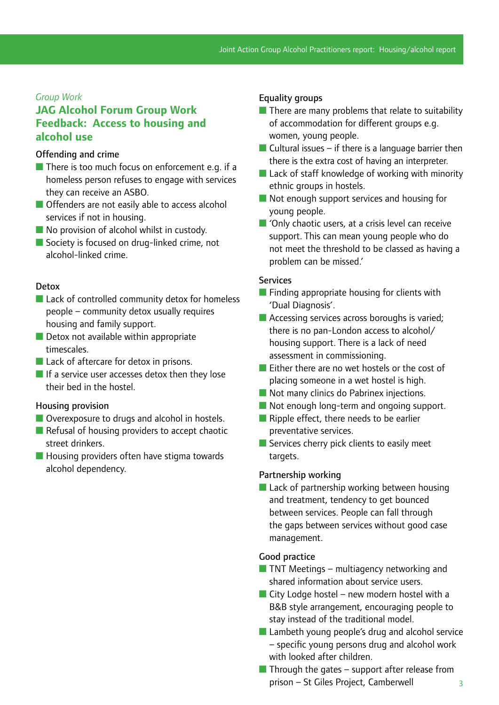### *Group Work*

# **JAG Alcohol Forum Group Work Feedback: Access to housing and alcohol use**

### Offending and crime

- There is too much focus on enforcement e.g. if a homeless person refuses to engage with services they can receive an ASBO.
- Offenders are not easily able to access alcohol services if not in housing.
- No provision of alcohol whilst in custody.
- Society is focused on drug-linked crime, not alcohol-linked crime.

#### Detox

- Lack of controlled community detox for homeless people – community detox usually requires housing and family support.
- Detox not available within appropriate timescales.
- Lack of aftercare for detox in prisons.
- If a service user accesses detox then they lose their bed in the hostel.

#### Housing provision

- Overexposure to drugs and alcohol in hostels.
- Refusal of housing providers to accept chaotic street drinkers.
- Housing providers often have stigma towards alcohol dependency.

### Equality groups

- $\blacksquare$  There are many problems that relate to suitability of accommodation for different groups e.g. women, young people.
- $\blacksquare$  Cultural issues if there is a language barrier then there is the extra cost of having an interpreter.
- Lack of staff knowledge of working with minority ethnic groups in hostels.
- Not enough support services and housing for young people.
- 'Only chaotic users, at a crisis level can receive support. This can mean young people who do not meet the threshold to be classed as having a problem can be missed.'

#### **Services**

- Finding appropriate housing for clients with 'Dual Diagnosis'.
- Accessing services across boroughs is varied; there is no pan-London access to alcohol/ housing support. There is a lack of need assessment in commissioning.
- Either there are no wet hostels or the cost of placing someone in a wet hostel is high.
- Not many clinics do Pabrinex injections.
- Not enough long-term and ongoing support.
- Ripple effect, there needs to be earlier preventative services.
- Services cherry pick clients to easily meet targets.

#### Partnership working

■ Lack of partnership working between housing and treatment, tendency to get bounced between services. People can fall through the gaps between services without good case management.

#### Good practice

- $\blacksquare$  TNT Meetings multiagency networking and shared information about service users.
- $\blacksquare$  City Lodge hostel new modern hostel with a B&B style arrangement, encouraging people to stay instead of the traditional model.
- Lambeth young people's drug and alcohol service – specific young persons drug and alcohol work with looked after children.
- $\blacksquare$  Through the gates support after release from prison – St Giles Project, Camberwell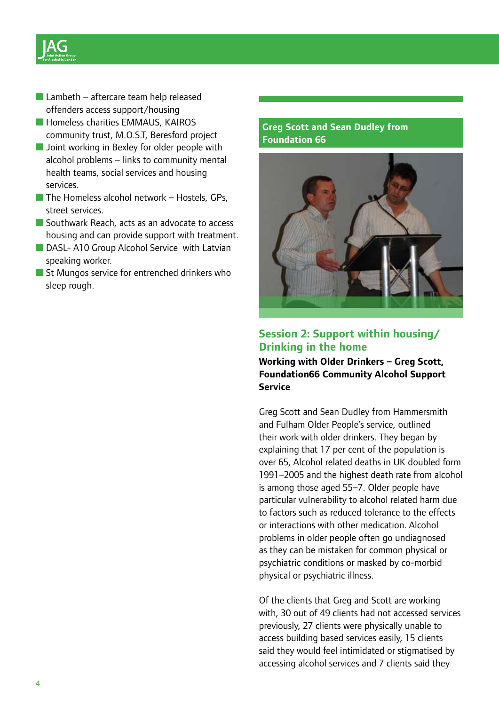

- $\blacksquare$  Lambeth aftercare team help released offenders access support/housing
- Homeless charities EMMAUS, KAIROS community trust, M.O.S.T, Beresford project
- Joint working in Bexley for older people with alcohol problems – links to community mental health teams, social services and housing services.
- $\blacksquare$  The Homeless alcohol network Hostels, GPs, street services.
- Southwark Reach, acts as an advocate to access housing and can provide support with treatment.
- DASL- A10 Group Alcohol Service with Latvian speaking worker.
- St Mungos service for entrenched drinkers who sleep rough.

## **Greg Scott and Sean Dudley from Foundation 66**



# **Session 2: Support within housing/ Drinking in the home**

**Working with Older Drinkers – Greg Scott, Foundation66 Community Alcohol Support Service**

Greg Scott and Sean Dudley from Hammersmith and Fulham Older People's service, outlined their work with older drinkers. They began by explaining that 17 per cent of the population is over 65, Alcohol related deaths in UK doubled form 1991–2005 and the highest death rate from alcohol is among those aged 55–7. Older people have particular vulnerability to alcohol related harm due to factors such as reduced tolerance to the effects or interactions with other medication. Alcohol problems in older people often go undiagnosed as they can be mistaken for common physical or psychiatric conditions or masked by co-morbid physical or psychiatric illness.

Of the clients that Greg and Scott are working with, 30 out of 49 clients had not accessed services previously, 27 clients were physically unable to access building based services easily, 15 clients said they would feel intimidated or stigmatised by accessing alcohol services and 7 clients said they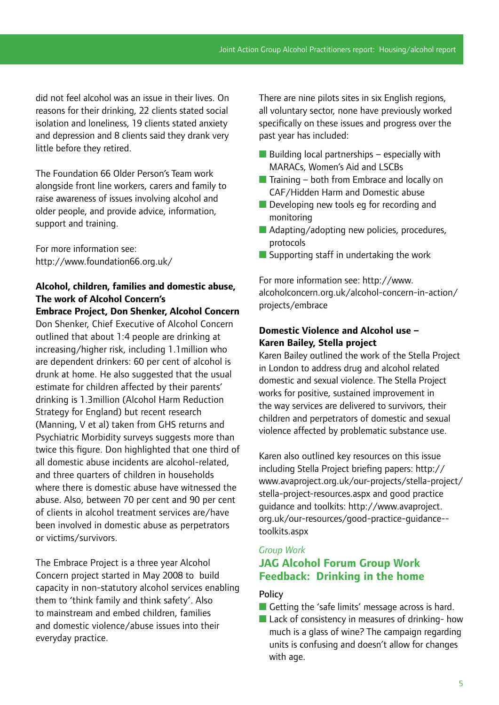did not feel alcohol was an issue in their lives. On reasons for their drinking, 22 clients stated social isolation and loneliness, 19 clients stated anxiety and depression and 8 clients said they drank very little before they retired.

The Foundation 66 Older Person's Team work alongside front line workers, carers and family to raise awareness of issues involving alcohol and older people, and provide advice, information, support and training.

For more information see: http://www.foundation66.org.uk/

# **Alcohol, children, families and domestic abuse, The work of Alcohol Concern's**

**Embrace Project, Don Shenker, Alcohol Concern** Don Shenker, Chief Executive of Alcohol Concern outlined that about 1:4 people are drinking at increasing/higher risk, including 1.1million who are dependent drinkers: 60 per cent of alcohol is drunk at home. He also suggested that the usual estimate for children affected by their parents' drinking is 1.3million (Alcohol Harm Reduction Strategy for England) but recent research (Manning, V et al) taken from GHS returns and Psychiatric Morbidity surveys suggests more than twice this figure. Don highlighted that one third of all domestic abuse incidents are alcohol-related, and three quarters of children in households where there is domestic abuse have witnessed the abuse. Also, between 70 per cent and 90 per cent of clients in alcohol treatment services are/have been involved in domestic abuse as perpetrators or victims/survivors.

The Embrace Project is a three year Alcohol Concern project started in May 2008 to build capacity in non-statutory alcohol services enabling them to 'think family and think safety'. Also to mainstream and embed children, families and domestic violence/abuse issues into their everyday practice.

There are nine pilots sites in six English regions, all voluntary sector, none have previously worked specifically on these issues and progress over the past year has included:

- $\blacksquare$  Building local partnerships especially with MARACs, Women's Aid and LSCBs
- $\blacksquare$  Training both from Embrace and locally on CAF/Hidden Harm and Domestic abuse
- Developing new tools eg for recording and monitoring
- Adapting/adopting new policies, procedures, protocols
- Supporting staff in undertaking the work

For more information see: http://www. alcoholconcern.org.uk/alcohol-concern-in-action/ projects/embrace

## **Domestic Violence and Alcohol use – Karen Bailey, Stella project**

Karen Bailey outlined the work of the Stella Project in London to address drug and alcohol related domestic and sexual violence. The Stella Project works for positive, sustained improvement in the way services are delivered to survivors, their children and perpetrators of domestic and sexual violence affected by problematic substance use.

Karen also outlined key resources on this issue including Stella Project briefing papers: http:// www.avaproject.org.uk/our-projects/stella-project/ stella-project-resources.aspx and good practice guidance and toolkits: http://www.avaproject. org.uk/our-resources/good-practice-guidance- toolkits.aspx

## *Group Work* **JAG Alcohol Forum Group Work Feedback: Drinking in the home**

## **Policy**

- Getting the 'safe limits' message across is hard.
- Lack of consistency in measures of drinking- how much is a glass of wine? The campaign regarding units is confusing and doesn't allow for changes with age.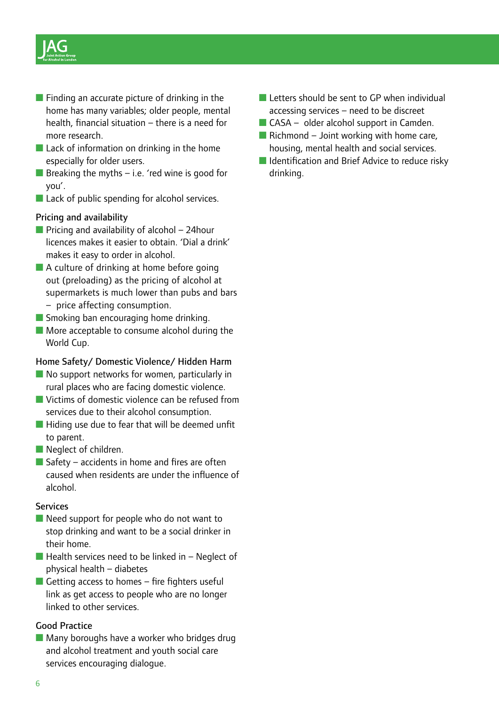

- Finding an accurate picture of drinking in the home has many variables; older people, mental health, financial situation – there is a need for more research.
- Lack of information on drinking in the home especially for older users.
- **E** Breaking the myths  $-$  i.e. 'red wine is good for you'.
- Lack of public spending for alcohol services.

### Pricing and availability

- $\blacksquare$  Pricing and availability of alcohol 24 hour licences makes it easier to obtain. 'Dial a drink' makes it easy to order in alcohol.
- A culture of drinking at home before going out (preloading) as the pricing of alcohol at supermarkets is much lower than pubs and bars – price affecting consumption.
- Smoking ban encouraging home drinking.
- More acceptable to consume alcohol during the World Cup.

### Home Safety/ Domestic Violence/ Hidden Harm

- No support networks for women, particularly in rural places who are facing domestic violence.
- Victims of domestic violence can be refused from services due to their alcohol consumption.
- Hiding use due to fear that will be deemed unfit to parent.
- Neglect of children.
- $\blacksquare$  Safety accidents in home and fires are often caused when residents are under the influence of alcohol.

#### **Services**

- Need support for people who do not want to stop drinking and want to be a social drinker in their home.
- $\blacksquare$  Health services need to be linked in Neglect of physical health – diabetes
- $\blacksquare$  Getting access to homes fire fighters useful link as get access to people who are no longer linked to other services.

### Good Practice

■ Many boroughs have a worker who bridges drug and alcohol treatment and youth social care services encouraging dialogue.

- Letters should be sent to GP when individual accessing services – need to be discreet
- $\blacksquare$  CASA older alcohol support in Camden.
- $\blacksquare$  Richmond Joint working with home care, housing, mental health and social services.
- Identification and Brief Advice to reduce risky drinking.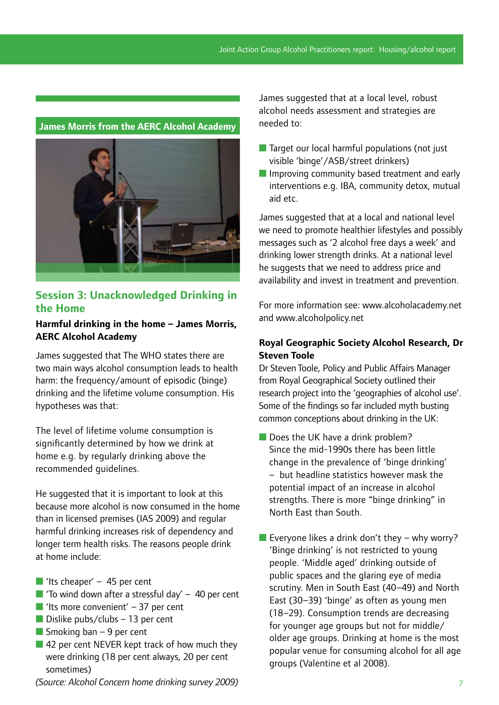

# **Session 3: Unacknowledged Drinking in the Home**

## **Harmful drinking in the home – James Morris, AERC Alcohol Academy**

James suggested that The WHO states there are two main ways alcohol consumption leads to health harm: the frequency/amount of episodic (binge) drinking and the lifetime volume consumption. His hypotheses was that:

The level of lifetime volume consumption is significantly determined by how we drink at home e.g. by regularly drinking above the recommended guidelines.

He suggested that it is important to look at this because more alcohol is now consumed in the home than in licensed premises (IAS 2009) and regular harmful drinking increases risk of dependency and longer term health risks. The reasons people drink at home include:

- If 'Its cheaper'  $-45$  per cent
- $\blacksquare$  'To wind down after a stressful day' 40 per cent
- If the more convenient'  $-37$  per cent
- $\blacksquare$  Dislike pubs/clubs 13 per cent
- $\blacksquare$  Smoking ban 9 per cent
- 42 per cent NEVER kept track of how much they were drinking (18 per cent always, 20 per cent sometimes)

*(Source: Alcohol Concern home drinking survey 2009)*

James suggested that at a local level, robust alcohol needs assessment and strategies are needed to:

- Target our local harmful populations (not just visible 'binge'/ASB/street drinkers)
- Improving community based treatment and early interventions e.g. IBA, community detox, mutual aid etc.

James suggested that at a local and national level we need to promote healthier lifestyles and possibly messages such as '2 alcohol free days a week' and drinking lower strength drinks. At a national level he suggests that we need to address price and availability and invest in treatment and prevention.

For more information see: www.alcoholacademy.net and www.alcoholpolicy.net

## **Royal Geographic Society Alcohol Research, Dr Steven Toole**

Dr Steven Toole, Policy and Public Affairs Manager from Royal Geographical Society outlined their research project into the 'geographies of alcohol use'. Some of the findings so far included myth busting common conceptions about drinking in the UK:

- Does the UK have a drink problem? Since the mid-1990s there has been little change in the prevalence of 'binge drinking' – but headline statistics however mask the potential impact of an increase in alcohol strengths. There is more "binge drinking" in North East than South.
- Everyone likes a drink don't they why worry? 'Binge drinking' is not restricted to young people. 'Middle aged' drinking outside of public spaces and the glaring eye of media scrutiny. Men in South East (40–49) and North East (30–39) 'binge' as often as young men (18–29). Consumption trends are decreasing for younger age groups but not for middle/ older age groups. Drinking at home is the most popular venue for consuming alcohol for all age groups (Valentine et al 2008).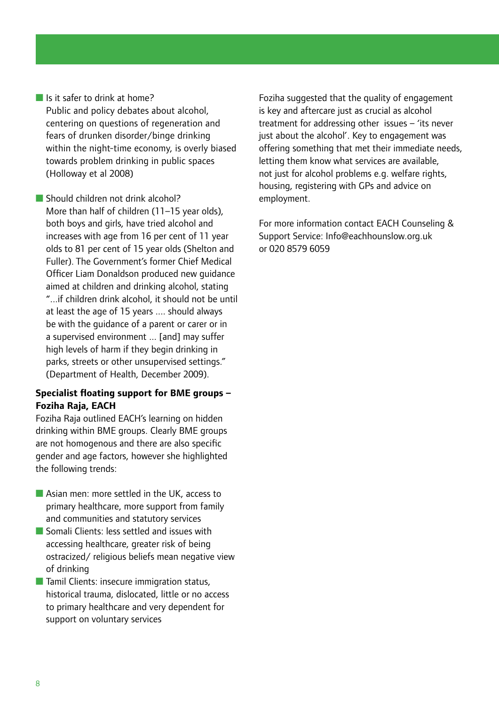■ Is it safer to drink at home? Public and policy debates about alcohol, centering on questions of regeneration and fears of drunken disorder/binge drinking within the night-time economy, is overly biased towards problem drinking in public spaces (Holloway et al 2008)

■ Should children not drink alcohol? More than half of children (11–15 year olds), both boys and girls, have tried alcohol and increases with age from 16 per cent of 11 year olds to 81 per cent of 15 year olds (Shelton and Fuller). The Government's former Chief Medical Officer Liam Donaldson produced new guidance aimed at children and drinking alcohol, stating "...if children drink alcohol, it should not be until at least the age of 15 years .... should always be with the guidance of a parent or carer or in a supervised environment ... [and] may suffer high levels of harm if they begin drinking in parks, streets or other unsupervised settings." (Department of Health, December 2009).

## **Specialist floating support for BME groups – Foziha Raja, EACH**

Foziha Raja outlined EACH's learning on hidden drinking within BME groups. Clearly BME groups are not homogenous and there are also specific gender and age factors, however she highlighted the following trends:

- Asian men: more settled in the UK, access to primary healthcare, more support from family and communities and statutory services
- Somali Clients: less settled and issues with accessing healthcare, greater risk of being ostracized/ religious beliefs mean negative view of drinking
- Tamil Clients: insecure immigration status, historical trauma, dislocated, little or no access to primary healthcare and very dependent for support on voluntary services

Foziha suggested that the quality of engagement is key and aftercare just as crucial as alcohol treatment for addressing other issues – 'its never just about the alcohol'. Key to engagement was offering something that met their immediate needs, letting them know what services are available, not just for alcohol problems e.g. welfare rights, housing, registering with GPs and advice on employment.

For more information contact EACH Counseling & Support Service: Info@eachhounslow.org.uk or 020 8579 6059